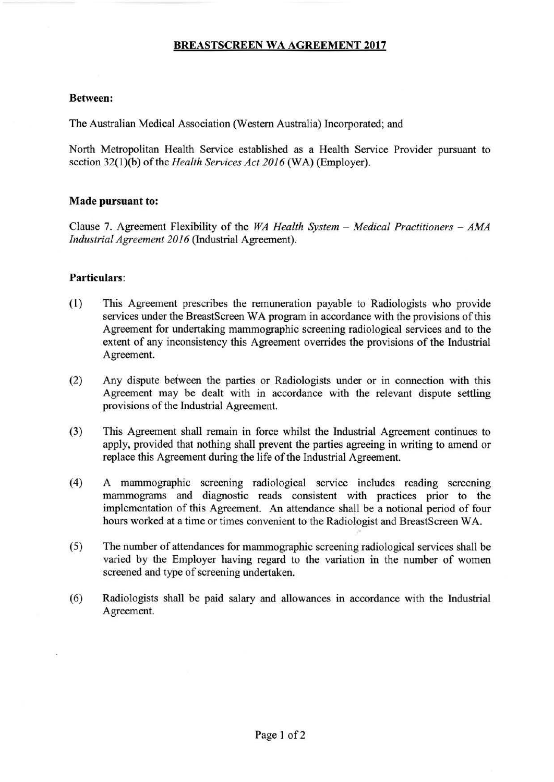# **BREASTSCREEN WA AGREEMENT 2017**

#### **Between:**

The Australian Medical Association (Western Australia) Incorporated; and

North Metropolitan Health Service established as a Health Service Provider pursuant to section 32(1)(b) of the *Health Services Act 2016* (WA) (Employer).

### **Made pursuant to:**

Clause 7. Agreement Flexibility of the *WA Health System – Medical Practitioners – AMA Industrial Agreement 2016* (Industrial Agreement).

## **Particulars:**

- (1) This Agreement prescribes the remuneration payable to Radiologists who provide services under the BreastScreen WA program in accordance with the provisions of this Agreement for undertaking mammographic screening radiological services and to the extent of any inconsistency this Agreement overrides the provisions of the Industrial Agreement.
- (2) Any dispute between the parties or Radiologists under or in connection with this Agreement may be dealt with in accordance with the relevant dispute settling provisions of the Industrial Agreement.
- (3) This Agreement shall remain in force whilst the Industrial Agreement continues to apply, provided that nothing shall prevent the parties agreeing in writing to amend or replace this Agreement during the life of the Industrial Agreement.
- ( 4) A mammographic screening radiological service includes reading screening mammograms and diagnostic reads consistent with practices prior to the implementation of this Agreement. An attendance shall be a notional period of four hours worked at a time or times convenient to the Radiologist and BreastScreen WA.
- (5) The number of attendances for mammographic screening radiological services shall be varied by the Employer having regard to the variation in the number of women screened and type of screening undertaken.
- (6) Radiologists shall be paid salary and allowances in accordance with the Industrial Agreement.